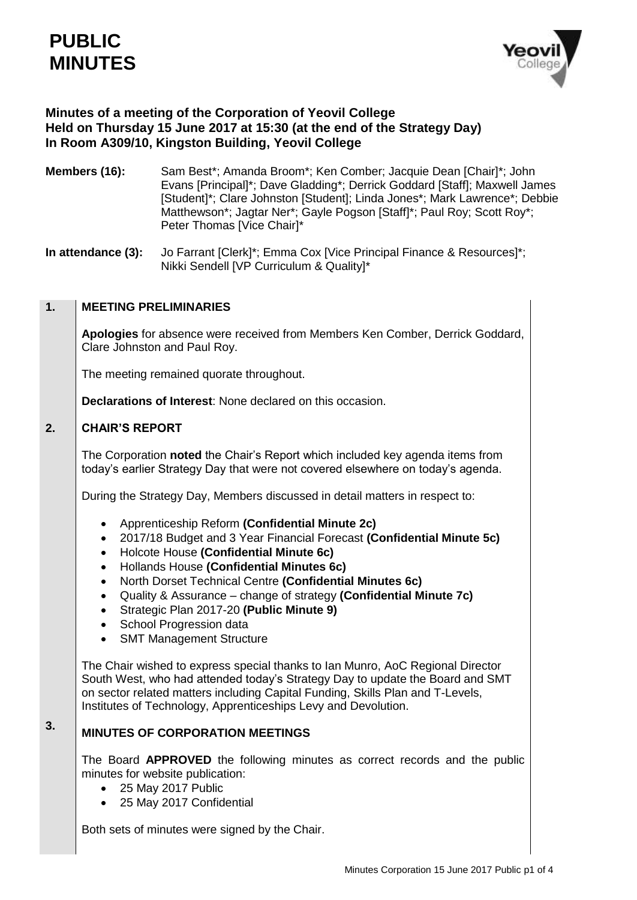

# **Minutes of a meeting of the Corporation of Yeovil College Held on Thursday 15 June 2017 at 15:30 (at the end of the Strategy Day) In Room A309/10, Kingston Building, Yeovil College**

**Members (16):** Sam Best\*; Amanda Broom\*; Ken Comber; Jacquie Dean [Chair]\*; John Evans [Principal]\*; Dave Gladding\*; Derrick Goddard [Staff]; Maxwell James [Student]\*; Clare Johnston [Student]; Linda Jones\*; Mark Lawrence\*; Debbie Matthewson\*; Jagtar Ner\*; Gayle Pogson [Staff]\*; Paul Roy; Scott Roy\*; Peter Thomas [Vice Chair]\*

**In attendance (3):** Jo Farrant [Clerk]<sup>\*</sup>; Emma Cox [Vice Principal Finance & Resources]<sup>\*</sup>; Nikki Sendell [VP Curriculum & Quality]\*

### **1. MEETING PRELIMINARIES**

**Apologies** for absence were received from Members Ken Comber, Derrick Goddard, Clare Johnston and Paul Roy.

The meeting remained quorate throughout.

**Declarations of Interest**: None declared on this occasion.

#### **2. CHAIR'S REPORT**

**3.**

The Corporation **noted** the Chair's Report which included key agenda items from today's earlier Strategy Day that were not covered elsewhere on today's agenda.

During the Strategy Day, Members discussed in detail matters in respect to:

- Apprenticeship Reform **(Confidential Minute 2c)**
- 2017/18 Budget and 3 Year Financial Forecast **(Confidential Minute 5c)**
- Holcote House **(Confidential Minute 6c)**
- Hollands House **(Confidential Minutes 6c)**
- North Dorset Technical Centre **(Confidential Minutes 6c)**
- Quality & Assurance change of strategy **(Confidential Minute 7c)**
- Strategic Plan 2017-20 **(Public Minute 9)**
- School Progression data
- SMT Management Structure

The Chair wished to express special thanks to Ian Munro, AoC Regional Director South West, who had attended today's Strategy Day to update the Board and SMT on sector related matters including Capital Funding, Skills Plan and T-Levels, Institutes of Technology, Apprenticeships Levy and Devolution.

# **MINUTES OF CORPORATION MEETINGS**

The Board **APPROVED** the following minutes as correct records and the public minutes for website publication:

- 25 May 2017 Public
- 25 May 2017 Confidential

Both sets of minutes were signed by the Chair.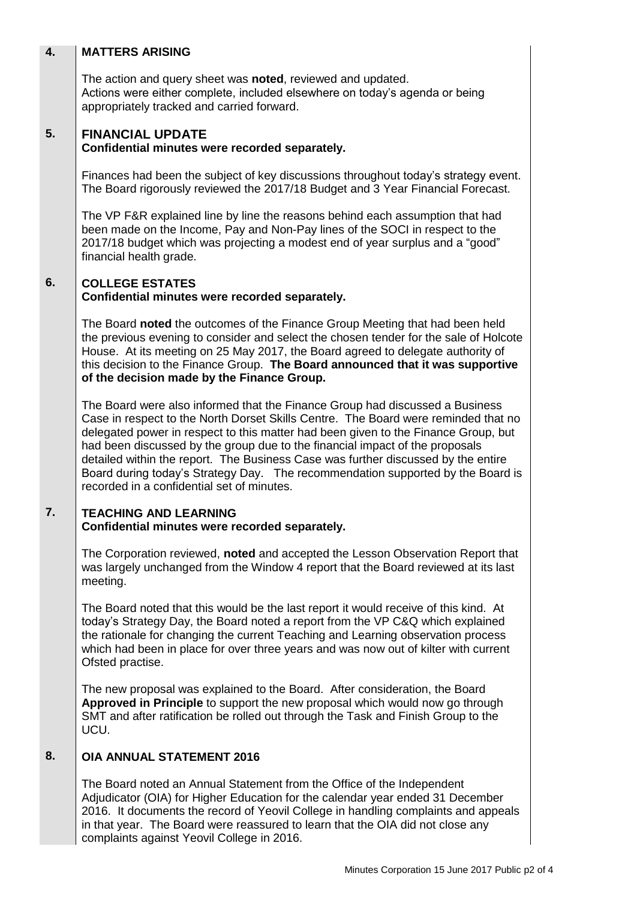# **4. 5. MATTERS ARISING** The action and query sheet was **noted**, reviewed and updated. Actions were either complete, included elsewhere on today's agenda or being appropriately tracked and carried forward. **FINANCIAL UPDATE Confidential minutes were recorded separately.** Finances had been the subject of key discussions throughout today's strategy event. The Board rigorously reviewed the 2017/18 Budget and 3 Year Financial Forecast.

The VP F&R explained line by line the reasons behind each assumption that had been made on the Income, Pay and Non-Pay lines of the SOCI in respect to the 2017/18 budget which was projecting a modest end of year surplus and a "good" financial health grade.

## **6. COLLEGE ESTATES Confidential minutes were recorded separately.**

The Board **noted** the outcomes of the Finance Group Meeting that had been held the previous evening to consider and select the chosen tender for the sale of Holcote House. At its meeting on 25 May 2017, the Board agreed to delegate authority of this decision to the Finance Group. **The Board announced that it was supportive of the decision made by the Finance Group.**

The Board were also informed that the Finance Group had discussed a Business Case in respect to the North Dorset Skills Centre. The Board were reminded that no delegated power in respect to this matter had been given to the Finance Group, but had been discussed by the group due to the financial impact of the proposals detailed within the report. The Business Case was further discussed by the entire Board during today's Strategy Day. The recommendation supported by the Board is recorded in a confidential set of minutes.

## **7. TEACHING AND LEARNING Confidential minutes were recorded separately.**

The Corporation reviewed, **noted** and accepted the Lesson Observation Report that was largely unchanged from the Window 4 report that the Board reviewed at its last meeting.

The Board noted that this would be the last report it would receive of this kind. At today's Strategy Day, the Board noted a report from the VP C&Q which explained the rationale for changing the current Teaching and Learning observation process which had been in place for over three years and was now out of kilter with current Ofsted practise.

The new proposal was explained to the Board. After consideration, the Board **Approved in Principle** to support the new proposal which would now go through SMT and after ratification be rolled out through the Task and Finish Group to the UCU.

### **8. OIA ANNUAL STATEMENT 2016**

The Board noted an Annual Statement from the Office of the Independent Adjudicator (OIA) for Higher Education for the calendar year ended 31 December 2016. It documents the record of Yeovil College in handling complaints and appeals in that year. The Board were reassured to learn that the OIA did not close any complaints against Yeovil College in 2016.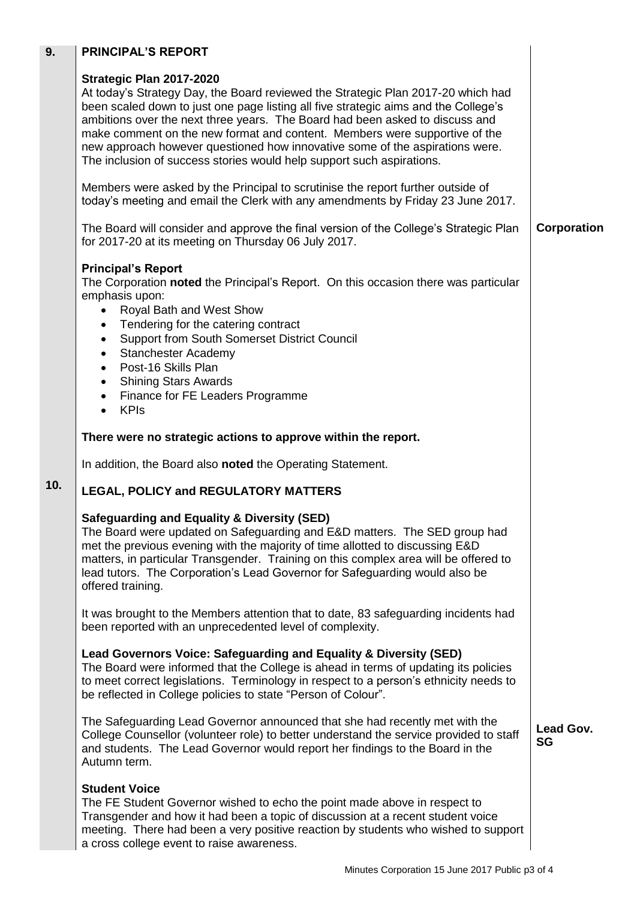| 9.  | <b>PRINCIPAL'S REPORT</b>                                                                                                                                                                                                                                                                                                                                                                                                                                                                                                  |                        |
|-----|----------------------------------------------------------------------------------------------------------------------------------------------------------------------------------------------------------------------------------------------------------------------------------------------------------------------------------------------------------------------------------------------------------------------------------------------------------------------------------------------------------------------------|------------------------|
|     | Strategic Plan 2017-2020<br>At today's Strategy Day, the Board reviewed the Strategic Plan 2017-20 which had<br>been scaled down to just one page listing all five strategic aims and the College's<br>ambitions over the next three years. The Board had been asked to discuss and<br>make comment on the new format and content. Members were supportive of the<br>new approach however questioned how innovative some of the aspirations were.<br>The inclusion of success stories would help support such aspirations. |                        |
|     | Members were asked by the Principal to scrutinise the report further outside of<br>today's meeting and email the Clerk with any amendments by Friday 23 June 2017.                                                                                                                                                                                                                                                                                                                                                         |                        |
|     | The Board will consider and approve the final version of the College's Strategic Plan<br>for 2017-20 at its meeting on Thursday 06 July 2017.                                                                                                                                                                                                                                                                                                                                                                              | Corporation            |
|     | <b>Principal's Report</b><br>The Corporation noted the Principal's Report. On this occasion there was particular<br>emphasis upon:<br>Royal Bath and West Show<br>Tendering for the catering contract<br>Support from South Somerset District Council<br><b>Stanchester Academy</b><br>Post-16 Skills Plan<br>$\bullet$<br><b>Shining Stars Awards</b><br>$\bullet$<br>Finance for FE Leaders Programme<br>$\bullet$<br><b>KPIs</b>                                                                                        |                        |
|     | There were no strategic actions to approve within the report.                                                                                                                                                                                                                                                                                                                                                                                                                                                              |                        |
|     | In addition, the Board also noted the Operating Statement.                                                                                                                                                                                                                                                                                                                                                                                                                                                                 |                        |
| 10. | <b>LEGAL, POLICY and REGULATORY MATTERS</b>                                                                                                                                                                                                                                                                                                                                                                                                                                                                                |                        |
|     | <b>Safeguarding and Equality &amp; Diversity (SED)</b><br>The Board were updated on Safeguarding and E&D matters. The SED group had<br>met the previous evening with the majority of time allotted to discussing E&D<br>matters, in particular Transgender. Training on this complex area will be offered to<br>lead tutors. The Corporation's Lead Governor for Safeguarding would also be<br>offered training.                                                                                                           |                        |
|     | It was brought to the Members attention that to date, 83 safeguarding incidents had<br>been reported with an unprecedented level of complexity.                                                                                                                                                                                                                                                                                                                                                                            |                        |
|     | Lead Governors Voice: Safeguarding and Equality & Diversity (SED)<br>The Board were informed that the College is ahead in terms of updating its policies<br>to meet correct legislations. Terminology in respect to a person's ethnicity needs to<br>be reflected in College policies to state "Person of Colour".                                                                                                                                                                                                         |                        |
|     | The Safeguarding Lead Governor announced that she had recently met with the<br>College Counsellor (volunteer role) to better understand the service provided to staff<br>and students. The Lead Governor would report her findings to the Board in the<br>Autumn term.                                                                                                                                                                                                                                                     | Lead Gov.<br><b>SG</b> |
|     | <b>Student Voice</b><br>The FE Student Governor wished to echo the point made above in respect to<br>Transgender and how it had been a topic of discussion at a recent student voice<br>meeting. There had been a very positive reaction by students who wished to support<br>a cross college event to raise awareness.                                                                                                                                                                                                    |                        |